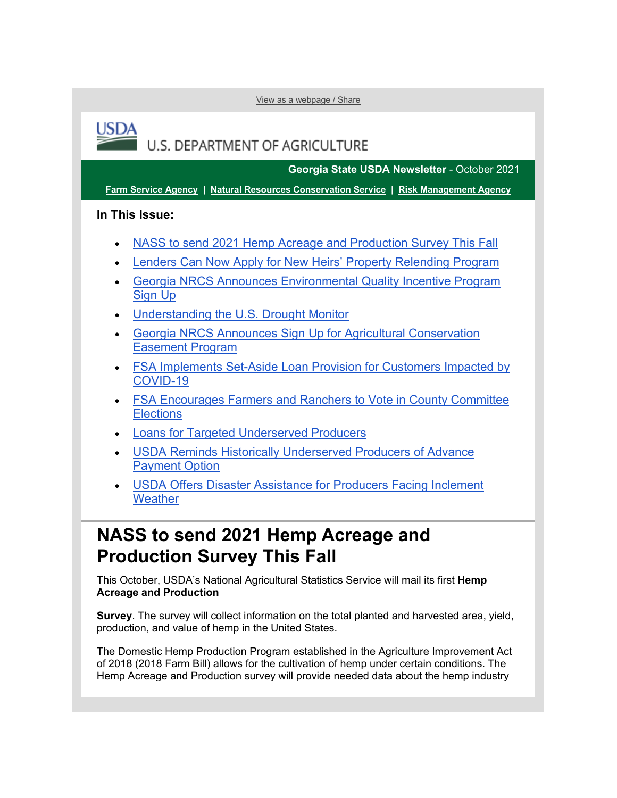[View as a webpage / Share](https://lnks.gd/l/eyJhbGciOiJIUzI1NiJ9.eyJidWxsZXRpbl9saW5rX2lkIjoxMDAsInVyaSI6ImJwMjpjbGljayIsImJ1bGxldGluX2lkIjoiMjAyMTEwMTMuNDczMDM1OTEiLCJ1cmwiOiJodHRwczovL2NvbnRlbnQuZ292ZGVsaXZlcnkuY29tL2FjY291bnRzL1VTREFGQVJNRVJTL2J1bGxldGlucy8yZjczOWQ4In0.XYSAxQBR06eocXM6y4ABHgtraquDTiw5v5ANF6fDVpc/s/1512326346/br/113848670202-l)

# U.S. DEPARTMENT OF AGRICULTURE

**Georgia State USDA Newsletter** - October 2021

**[Farm Service Agency](https://lnks.gd/l/eyJhbGciOiJIUzI1NiJ9.eyJidWxsZXRpbl9saW5rX2lkIjoxMDEsInVyaSI6ImJwMjpjbGljayIsImJ1bGxldGluX2lkIjoiMjAyMTEwMTMuNDczMDM1OTEiLCJ1cmwiOiJodHRwczovL2ZzYS51c2RhLmdvdi8_dXRtX21lZGl1bT1lbWFpbCZ1dG1fc291cmNlPWdvdmRlbGl2ZXJ5In0.qM3Riw53s5fVr-3eHXcp0SJtDnMn6xuO2nridX3EIho/s/1512326346/br/113848670202-l) | [Natural Resources Conservation Service](https://lnks.gd/l/eyJhbGciOiJIUzI1NiJ9.eyJidWxsZXRpbl9saW5rX2lkIjoxMDIsInVyaSI6ImJwMjpjbGljayIsImJ1bGxldGluX2lkIjoiMjAyMTEwMTMuNDczMDM1OTEiLCJ1cmwiOiJodHRwczovL3d3dy5ucmNzLnVzZGEuZ292L3dwcy9wb3J0YWwvbnJjcy9zaXRlL25hdGlvbmFsL2hvbWUvP3V0bV9tZWRpdW09ZW1haWwmdXRtX3NvdXJjZT1nb3ZkZWxpdmVyeSJ9.QGVnOiu2vAwltFEFzdUoYpstOpQCYFoTalvJ5LMCNsE/s/1512326346/br/113848670202-l) | [Risk Management Agency](https://lnks.gd/l/eyJhbGciOiJIUzI1NiJ9.eyJidWxsZXRpbl9saW5rX2lkIjoxMDMsInVyaSI6ImJwMjpjbGljayIsImJ1bGxldGluX2lkIjoiMjAyMTEwMTMuNDczMDM1OTEiLCJ1cmwiOiJodHRwczovL3JtYS51c2RhLmdvdi8_dXRtX21lZGl1bT1lbWFpbCZ1dG1fc291cmNlPWdvdmRlbGl2ZXJ5In0.XzeHxNGL0i4873zGJ7hFpy12CJXxwtIX4af7Mcf8CLk/s/1512326346/br/113848670202-l)**

### **In This Issue:**

**USDA** 

- [NASS to send 2021 Hemp Acreage and Production Survey This Fall](#page-0-0)
- [Lenders Can Now Apply for New Heirs' Property Relending Program](#page-1-0)
- [Georgia NRCS Announces Environmental Quality Incentive Program](#page-2-0)  Sign Up
- [Understanding the U.S. Drought Monitor](#page-2-1)
- [Georgia NRCS Announces Sign Up for Agricultural Conservation](#page-3-0)  [Easement Program](#page-3-0)
- [FSA Implements Set-Aside Loan Provision for Customers Impacted by](#page-4-0)  [COVID-19](#page-4-0)
- [FSA Encourages Farmers and Ranchers to Vote in County Committee](#page-5-0)  **Elections**
- [Loans for Targeted Underserved Producers](#page-5-1)
- [USDA Reminds Historically Underserved Producers of Advance](#page-6-0) [Payment Option](#page-6-0)
- [USDA Offers Disaster Assistance for Producers Facing Inclement](#page-6-1)  **[Weather](#page-6-1)**

### <span id="page-0-0"></span>**NASS to send 2021 Hemp Acreage and Production Survey This Fall**

This October, USDA's National Agricultural Statistics Service will mail its first **Hemp Acreage and Production** 

**Survey**. The survey will collect information on the total planted and harvested area, yield, production, and value of hemp in the United States.

The Domestic Hemp Production Program established in the Agriculture Improvement Act of 2018 (2018 Farm Bill) allows for the cultivation of hemp under certain conditions. The Hemp Acreage and Production survey will provide needed data about the hemp industry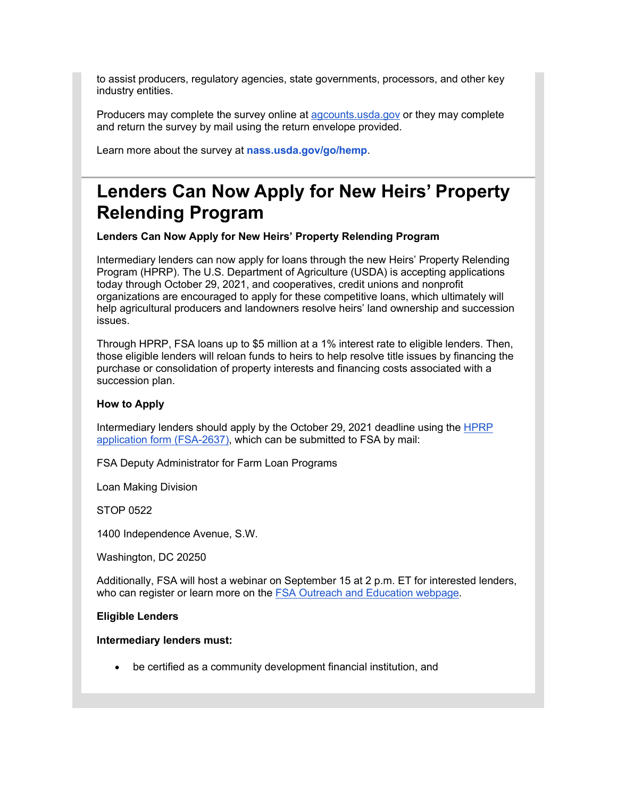to assist producers, regulatory agencies, state governments, processors, and other key industry entities.

Producers may complete the survey online at [agcounts.usda.gov](https://lnks.gd/l/eyJhbGciOiJIUzI1NiJ9.eyJidWxsZXRpbl9saW5rX2lkIjoxMDQsInVyaSI6ImJwMjpjbGljayIsImJ1bGxldGluX2lkIjoiMjAyMTEwMTMuNDczMDM1OTEiLCJ1cmwiOiJodHRwczovL2djYzAyLnNhZmVsaW5rcy5wcm90ZWN0aW9uLm91dGxvb2suY29tLz9kYXRhPTA0JTdDMDElN0MlN0MwOTk2ZDNlZDcyMTA0YjI4ZWUyNzA4ZDk2YmJjNTljNiU3Q2VkNWIzNmU3MDFlZTRlYmM4NjdlZTAzY2ZhMGQ0Njk3JTdDMCU3QzAlN0M2Mzc2NTkyNzg5NzQwMzczMDclN0NVbmtub3duJTdDVFdGcGJHWnNiM2Q4ZXlKV0lqb2lNQzR3TGpBd01EQWlMQ0pRSWpvaVYybHVNeklpTENKQlRpSTZJazFoYVd3aUxDSlhWQ0k2TW4wJTNEJTdDMTAwMCZyZXNlcnZlZD0wJnNkYXRhPTEwWHhjWGlZQ1A3MDhzYmIlMkZVSnh5Z3pCVTI0JTJGYzFnT2twSU16SEhzTHdnJTNEJnVybD1odHRwcyUzQSUyRiUyRnd3dy5hZ2NvdW50cy51c2RhLmdvdiUyRnN0YXRpYyUyRmNhd2klMkZsYXlvdXRzJTJGY2F3aSUyRmJyZWV6ZSUyRmluZGV4Lmh0bWwlM0Z1dG1fbWVkaXVtJTNEZW1haWwlMjZ1dG1fc291cmNlJTNEZ292ZGVsaXZlcnkmdXRtX21lZGl1bT1lbWFpbCZ1dG1fc291cmNlPWdvdmRlbGl2ZXJ5In0.TOdPiS57aSRWxlc-TbXLvO_JH30gyv2SeVNRcdc_4MA/s/1512326346/br/113848670202-l) or they may complete and return the survey by mail using the return envelope provided.

Learn more about the survey at **[nass.usda.gov/go/hemp](https://lnks.gd/l/eyJhbGciOiJIUzI1NiJ9.eyJidWxsZXRpbl9saW5rX2lkIjoxMDUsInVyaSI6ImJwMjpjbGljayIsImJ1bGxldGluX2lkIjoiMjAyMTEwMTMuNDczMDM1OTEiLCJ1cmwiOiJodHRwczovL2djYzAyLnNhZmVsaW5rcy5wcm90ZWN0aW9uLm91dGxvb2suY29tLz9kYXRhPTA0JTdDMDElN0MlN0MwOTk2ZDNlZDcyMTA0YjI4ZWUyNzA4ZDk2YmJjNTljNiU3Q2VkNWIzNmU3MDFlZTRlYmM4NjdlZTAzY2ZhMGQ0Njk3JTdDMCU3QzAlN0M2Mzc2NTkyNzg5NzQwMzczMDclN0NVbmtub3duJTdDVFdGcGJHWnNiM2Q4ZXlKV0lqb2lNQzR3TGpBd01EQWlMQ0pRSWpvaVYybHVNeklpTENKQlRpSTZJazFoYVd3aUxDSlhWQ0k2TW4wJTNEJTdDMTAwMCZyZXNlcnZlZD0wJnNkYXRhPUVYOVpKUEFNJTJCeTlOUjZlRU10ekdtVjhvS2wzVEt0V01VZ2NNRWdNMmRodyUzRCZ1cmw9aHR0cHMlM0ElMkYlMkZ3d3cubmFzcy51c2RhLmdvdiUyRmdvJTJGaGVtcCUzRnV0bV9tZWRpdW0lM0RlbWFpbCUyNnV0bV9zb3VyY2UlM0Rnb3ZkZWxpdmVyeSZ1dG1fbWVkaXVtPWVtYWlsJnV0bV9zb3VyY2U9Z292ZGVsaXZlcnkifQ.t3InheWZR6fxCiRKFz6riTBDPEoOqboDsussvVb3sNA/s/1512326346/br/113848670202-l)**.

# <span id="page-1-0"></span>**Lenders Can Now Apply for New Heirs' Property Relending Program**

**Lenders Can Now Apply for New Heirs' Property Relending Program**

Intermediary lenders can now apply for loans through the new Heirs' Property Relending Program (HPRP). The U.S. Department of Agriculture (USDA) is accepting applications today through October 29, 2021, and cooperatives, credit unions and nonprofit organizations are encouraged to apply for these competitive loans, which ultimately will help agricultural producers and landowners resolve heirs' land ownership and succession issues.

Through HPRP, FSA loans up to \$5 million at a 1% interest rate to eligible lenders. Then, those eligible lenders will reloan funds to heirs to help resolve title issues by financing the purchase or consolidation of property interests and financing costs associated with a succession plan.

#### **How to Apply**

Intermediary lenders should apply by the October 29, 2021 deadline using the [HPRP](https://lnks.gd/l/eyJhbGciOiJIUzI1NiJ9.eyJidWxsZXRpbl9saW5rX2lkIjoxMDYsInVyaSI6ImJwMjpjbGljayIsImJ1bGxldGluX2lkIjoiMjAyMTEwMTMuNDczMDM1OTEiLCJ1cmwiOiJodHRwczovL3d3dy5mYXJtZXJzLmdvdi9zaXRlcy9kZWZhdWx0L2ZpbGVzLzIwMjEtMDgvZmFybWVyc2dvdi1oZWlyc3Byb3BlcnR5cmVsZW5kaW5ncHJvZ3JhbWFwcGxpY2F0aW9uLTA2LTMwLTIxLnBkZj91dG1fbWVkaXVtPWVtYWlsJnV0bV9zb3VyY2U9Z292ZGVsaXZlcnkifQ.Qk-ciZ71yNqt9qyo3bbS-NBokrzbO5PPvgkXbLGisa4/s/1512326346/br/113848670202-l)  [application form \(FSA-2637\),](https://lnks.gd/l/eyJhbGciOiJIUzI1NiJ9.eyJidWxsZXRpbl9saW5rX2lkIjoxMDYsInVyaSI6ImJwMjpjbGljayIsImJ1bGxldGluX2lkIjoiMjAyMTEwMTMuNDczMDM1OTEiLCJ1cmwiOiJodHRwczovL3d3dy5mYXJtZXJzLmdvdi9zaXRlcy9kZWZhdWx0L2ZpbGVzLzIwMjEtMDgvZmFybWVyc2dvdi1oZWlyc3Byb3BlcnR5cmVsZW5kaW5ncHJvZ3JhbWFwcGxpY2F0aW9uLTA2LTMwLTIxLnBkZj91dG1fbWVkaXVtPWVtYWlsJnV0bV9zb3VyY2U9Z292ZGVsaXZlcnkifQ.Qk-ciZ71yNqt9qyo3bbS-NBokrzbO5PPvgkXbLGisa4/s/1512326346/br/113848670202-l) which can be submitted to FSA by mail:

FSA Deputy Administrator for Farm Loan Programs

Loan Making Division

STOP 0522

1400 Independence Avenue, S.W.

Washington, DC 20250

Additionally, FSA will host a webinar on September 15 at 2 p.m. ET for interested lenders, who can register or learn more on the **FSA Outreach and Education webpage**.

#### **Eligible Lenders**

#### **Intermediary lenders must:**

• be certified as a community development financial institution, and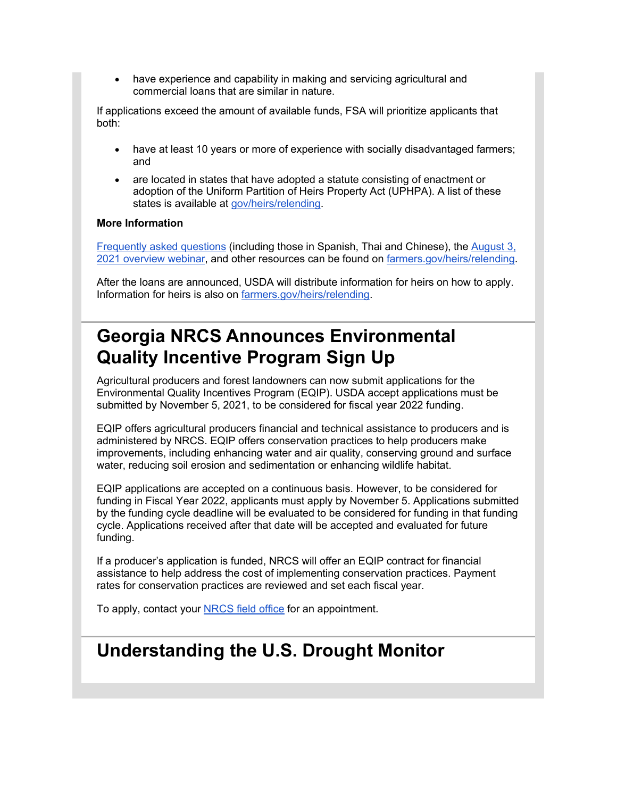• have experience and capability in making and servicing agricultural and commercial loans that are similar in nature.

If applications exceed the amount of available funds, FSA will prioritize applicants that both:

- have at least 10 years or more of experience with socially disadvantaged farmers; and
- are located in states that have adopted a statute consisting of enactment or adoption of the Uniform Partition of Heirs Property Act (UPHPA). A list of these states is available at [gov/heirs/relending.](https://lnks.gd/l/eyJhbGciOiJIUzI1NiJ9.eyJidWxsZXRpbl9saW5rX2lkIjoxMDgsInVyaSI6ImJwMjpjbGljayIsImJ1bGxldGluX2lkIjoiMjAyMTEwMTMuNDczMDM1OTEiLCJ1cmwiOiJodHRwOi8vd3d3LmZhcm1lcnMuZ292L2hlaXJzL3JlbGVuZGluZz91dG1fbWVkaXVtPWVtYWlsJnV0bV9zb3VyY2U9Z292ZGVsaXZlcnkifQ.XgClYNRgv-wiFxijB6e3idbTBY9rgjBxDw5bAPoykGg/s/1512326346/br/113848670202-l)

### **More Information**

[Frequently asked questions](https://lnks.gd/l/eyJhbGciOiJIUzI1NiJ9.eyJidWxsZXRpbl9saW5rX2lkIjoxMDksInVyaSI6ImJwMjpjbGljayIsImJ1bGxldGluX2lkIjoiMjAyMTEwMTMuNDczMDM1OTEiLCJ1cmwiOiJodHRwczovL3d3dy5mYXJtZXJzLmdvdi9oZWlycy9yZWxlbmRpbmcvZmFxP3V0bV9tZWRpdW09ZW1haWwmdXRtX3NvdXJjZT1nb3ZkZWxpdmVyeSJ9.xA3QyWS5KPG4hY9ghOvTwKIn_sZt4EP8nYYwnl-E-5M/s/1512326346/br/113848670202-l) (including those in Spanish, Thai and Chinese), the [August 3,](https://lnks.gd/l/eyJhbGciOiJIUzI1NiJ9.eyJidWxsZXRpbl9saW5rX2lkIjoxMTAsInVyaSI6ImJwMjpjbGljayIsImJ1bGxldGluX2lkIjoiMjAyMTEwMTMuNDczMDM1OTEiLCJ1cmwiOiJodHRwczovL2djYzAyLnNhZmVsaW5rcy5wcm90ZWN0aW9uLm91dGxvb2suY29tLz9kYXRhPTA0JTdDMDElN0MlN0NiYzQzZWVkYjVkNzk0MmYwZTUzYzA4ZDk2YmQ4YjYyZSU3Q2VkNWIzNmU3MDFlZTRlYmM4NjdlZTAzY2ZhMGQ0Njk3JTdDMCU3QzAlN0M2Mzc2NTk0MDA3NzU1MTcyNzUlN0NVbmtub3duJTdDVFdGcGJHWnNiM2Q4ZXlKV0lqb2lNQzR3TGpBd01EQWlMQ0pRSWpvaVYybHVNeklpTENKQlRpSTZJazFoYVd3aUxDSlhWQ0k2TW4wJTNEJTdDMTAwMCZyZXNlcnZlZD0wJnNkYXRhPXpFblEwZTdSZ3hPb1loNTBkdEJSdHR4dW53OHU3UU4xTjcwWVpvSjVoOVklM0QmdXJsPWh0dHBzJTNBJTJGJTJGd3d3LnlvdXR1YmUuY29tJTJGd2F0Y2glM0ZhcHAlM0RkZXNrdG9wJTI2dXRtX21lZGl1bSUzRGVtYWlsJTI2dXRtX3NvdXJjZSUzRGdvdmRlbGl2ZXJ5JTI2diUzRHdLS25CM3ROVGxnJnV0bV9tZWRpdW09ZW1haWwmdXRtX3NvdXJjZT1nb3ZkZWxpdmVyeSJ9.IFmCbGTd2Q7XPBViZ0xMecKS18BdYKi6rJu_omygsVk/s/1512326346/br/113848670202-l) [2021 overview webinar,](https://lnks.gd/l/eyJhbGciOiJIUzI1NiJ9.eyJidWxsZXRpbl9saW5rX2lkIjoxMTAsInVyaSI6ImJwMjpjbGljayIsImJ1bGxldGluX2lkIjoiMjAyMTEwMTMuNDczMDM1OTEiLCJ1cmwiOiJodHRwczovL2djYzAyLnNhZmVsaW5rcy5wcm90ZWN0aW9uLm91dGxvb2suY29tLz9kYXRhPTA0JTdDMDElN0MlN0NiYzQzZWVkYjVkNzk0MmYwZTUzYzA4ZDk2YmQ4YjYyZSU3Q2VkNWIzNmU3MDFlZTRlYmM4NjdlZTAzY2ZhMGQ0Njk3JTdDMCU3QzAlN0M2Mzc2NTk0MDA3NzU1MTcyNzUlN0NVbmtub3duJTdDVFdGcGJHWnNiM2Q4ZXlKV0lqb2lNQzR3TGpBd01EQWlMQ0pRSWpvaVYybHVNeklpTENKQlRpSTZJazFoYVd3aUxDSlhWQ0k2TW4wJTNEJTdDMTAwMCZyZXNlcnZlZD0wJnNkYXRhPXpFblEwZTdSZ3hPb1loNTBkdEJSdHR4dW53OHU3UU4xTjcwWVpvSjVoOVklM0QmdXJsPWh0dHBzJTNBJTJGJTJGd3d3LnlvdXR1YmUuY29tJTJGd2F0Y2glM0ZhcHAlM0RkZXNrdG9wJTI2dXRtX21lZGl1bSUzRGVtYWlsJTI2dXRtX3NvdXJjZSUzRGdvdmRlbGl2ZXJ5JTI2diUzRHdLS25CM3ROVGxnJnV0bV9tZWRpdW09ZW1haWwmdXRtX3NvdXJjZT1nb3ZkZWxpdmVyeSJ9.IFmCbGTd2Q7XPBViZ0xMecKS18BdYKi6rJu_omygsVk/s/1512326346/br/113848670202-l) and other resources can be found on [farmers.gov/heirs/relending.](https://lnks.gd/l/eyJhbGciOiJIUzI1NiJ9.eyJidWxsZXRpbl9saW5rX2lkIjoxMTEsInVyaSI6ImJwMjpjbGljayIsImJ1bGxldGluX2lkIjoiMjAyMTEwMTMuNDczMDM1OTEiLCJ1cmwiOiJodHRwczovL3d3dy5mYXJtZXJzLmdvdi9oZWlycy9yZWxlbmRpbmc_dXRtX21lZGl1bT1lbWFpbCZ1dG1fc291cmNlPWdvdmRlbGl2ZXJ5In0.JQ4UeABcOIGVy0eK6xF-Imqk22QHAnrlq9WC-zuXxvU/s/1512326346/br/113848670202-l)

After the loans are announced, USDA will distribute information for heirs on how to apply. Information for heirs is also on [farmers.gov/heirs/relending.](https://lnks.gd/l/eyJhbGciOiJIUzI1NiJ9.eyJidWxsZXRpbl9saW5rX2lkIjoxMTIsInVyaSI6ImJwMjpjbGljayIsImJ1bGxldGluX2lkIjoiMjAyMTEwMTMuNDczMDM1OTEiLCJ1cmwiOiJodHRwczovL3d3dy5mYXJtZXJzLmdvdi9oZWlycy9yZWxlbmRpbmc_dXRtX21lZGl1bT1lbWFpbCZ1dG1fc291cmNlPWdvdmRlbGl2ZXJ5In0.KePhW-Ji0bi_FUTKijSTy6yVeJJmeKlvOaMVcQulmeg/s/1512326346/br/113848670202-l)

# <span id="page-2-0"></span>**Georgia NRCS Announces Environmental Quality Incentive Program Sign Up**

Agricultural producers and forest landowners can now submit applications for the Environmental Quality Incentives Program (EQIP). USDA accept applications must be submitted by November 5, 2021, to be considered for fiscal year 2022 funding.

EQIP offers agricultural producers financial and technical assistance to producers and is administered by NRCS. EQIP offers conservation practices to help producers make improvements, including enhancing water and air quality, conserving ground and surface water, reducing soil erosion and sedimentation or enhancing wildlife habitat.

EQIP applications are accepted on a continuous basis. However, to be considered for funding in Fiscal Year 2022, applicants must apply by November 5. Applications submitted by the funding cycle deadline will be evaluated to be considered for funding in that funding cycle. Applications received after that date will be accepted and evaluated for future funding.

If a producer's application is funded, NRCS will offer an EQIP contract for financial assistance to help address the cost of implementing conservation practices. Payment rates for conservation practices are reviewed and set each fiscal year.

To apply, contact your **NRCS** field office for an appointment.

# <span id="page-2-1"></span>**Understanding the U.S. Drought Monitor**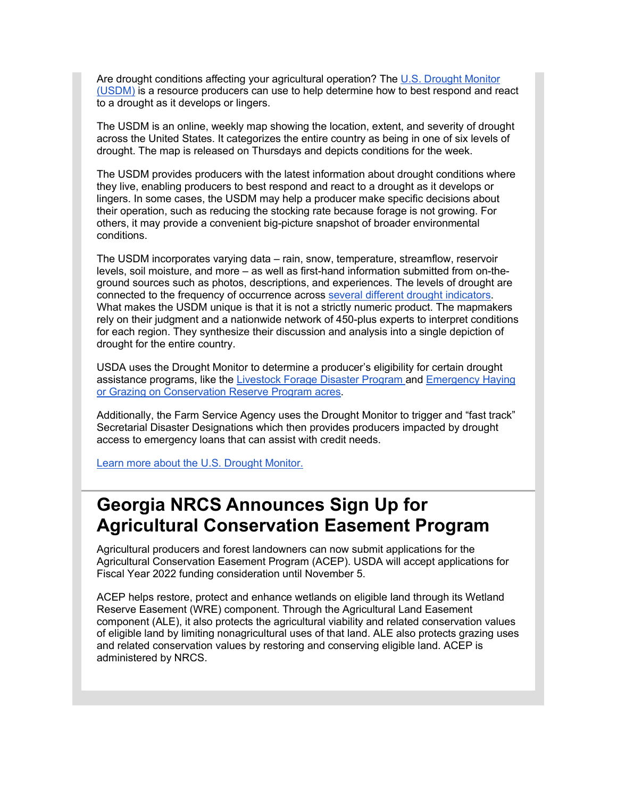Are drought conditions affecting your agricultural operation? The [U.S. Drought Monitor](https://lnks.gd/l/eyJhbGciOiJIUzI1NiJ9.eyJidWxsZXRpbl9saW5rX2lkIjoxMTQsInVyaSI6ImJwMjpjbGljayIsImJ1bGxldGluX2lkIjoiMjAyMTEwMTMuNDczMDM1OTEiLCJ1cmwiOiJodHRwczovL2Ryb3VnaHRtb25pdG9yLnVubC5lZHUvP3V0bV9tZWRpdW09ZW1haWwmdXRtX3NvdXJjZT1nb3ZkZWxpdmVyeSJ9.o6B2C0zSJePzvZOG2z3atdKiSCX8VcB5cdKPVCEh4Bk/s/1512326346/br/113848670202-l)  [\(USDM\)](https://lnks.gd/l/eyJhbGciOiJIUzI1NiJ9.eyJidWxsZXRpbl9saW5rX2lkIjoxMTQsInVyaSI6ImJwMjpjbGljayIsImJ1bGxldGluX2lkIjoiMjAyMTEwMTMuNDczMDM1OTEiLCJ1cmwiOiJodHRwczovL2Ryb3VnaHRtb25pdG9yLnVubC5lZHUvP3V0bV9tZWRpdW09ZW1haWwmdXRtX3NvdXJjZT1nb3ZkZWxpdmVyeSJ9.o6B2C0zSJePzvZOG2z3atdKiSCX8VcB5cdKPVCEh4Bk/s/1512326346/br/113848670202-l) is a resource producers can use to help determine how to best respond and react to a drought as it develops or lingers.

The USDM is an online, weekly map showing the location, extent, and severity of drought across the United States. It categorizes the entire country as being in one of six levels of drought. The map is released on Thursdays and depicts conditions for the week.

The USDM provides producers with the latest information about drought conditions where they live, enabling producers to best respond and react to a drought as it develops or lingers. In some cases, the USDM may help a producer make specific decisions about their operation, such as reducing the stocking rate because forage is not growing. For others, it may provide a convenient big-picture snapshot of broader environmental conditions.

The USDM incorporates varying data – rain, snow, temperature, streamflow, reservoir levels, soil moisture, and more – as well as first-hand information submitted from on-theground sources such as photos, descriptions, and experiences. The levels of drought are connected to the frequency of occurrence across [several different drought indicators.](https://lnks.gd/l/eyJhbGciOiJIUzI1NiJ9.eyJidWxsZXRpbl9saW5rX2lkIjoxMTUsInVyaSI6ImJwMjpjbGljayIsImJ1bGxldGluX2lkIjoiMjAyMTEwMTMuNDczMDM1OTEiLCJ1cmwiOiJodHRwczovL2Ryb3VnaHRtb25pdG9yLnVubC5lZHUvQWJvdXQvV2hhdGlzdGhlVVNETS5hc3B4P3V0bV9tZWRpdW09ZW1haWwmdXRtX3NvdXJjZT1nb3ZkZWxpdmVyeSJ9.HIPzxKERvHFHsET0ZMkbyPjDtRFSyB-Lh33tixjgpos/s/1512326346/br/113848670202-l) What makes the USDM unique is that it is not a strictly numeric product. The mapmakers rely on their judgment and a nationwide network of 450-plus experts to interpret conditions for each region. They synthesize their discussion and analysis into a single depiction of drought for the entire country.

USDA uses the Drought Monitor to determine a producer's eligibility for certain drought assistance programs, like the [Livestock Forage Disaster Program a](https://lnks.gd/l/eyJhbGciOiJIUzI1NiJ9.eyJidWxsZXRpbl9saW5rX2lkIjoxMTYsInVyaSI6ImJwMjpjbGljayIsImJ1bGxldGluX2lkIjoiMjAyMTEwMTMuNDczMDM1OTEiLCJ1cmwiOiJodHRwczovL3d3dy5mc2EudXNkYS5nb3YvcHJvZ3JhbXMtYW5kLXNlcnZpY2VzL2Rpc2FzdGVyLWFzc2lzdGFuY2UtcHJvZ3JhbS9saXZlc3RvY2stZm9yYWdlL2luZGV4P3V0bV9tZWRpdW09ZW1haWwmdXRtX3NvdXJjZT1nb3ZkZWxpdmVyeSJ9.GXNTB0n3_IVR64NOvzBuQECW_SH77DbWJ7oyGliTgcM/s/1512326346/br/113848670202-l)nd [Emergency Haying](https://lnks.gd/l/eyJhbGciOiJIUzI1NiJ9.eyJidWxsZXRpbl9saW5rX2lkIjoxMTcsInVyaSI6ImJwMjpjbGljayIsImJ1bGxldGluX2lkIjoiMjAyMTEwMTMuNDczMDM1OTEiLCJ1cmwiOiJodHRwczovL3d3dy5mc2EudXNkYS5nb3YvcHJvZ3JhbXMtYW5kLXNlcnZpY2VzL2NvbnNlcnZhdGlvbi1wcm9ncmFtcy9jb25zZXJ2YXRpb24tcmVzZXJ2ZS1wcm9ncmFtL2VtZXJnZW5jeS1oYXlpbmctYW5kLWdyYXppbmcvaW5kZXg_dXRtX21lZGl1bT1lbWFpbCZ1dG1fc291cmNlPWdvdmRlbGl2ZXJ5In0.g_Jfv5HbtGVwaGdiYvIjaTgWWsr0Cc-P18umlF9SNc4/s/1512326346/br/113848670202-l)  [or Grazing on Conservation Reserve Program acres.](https://lnks.gd/l/eyJhbGciOiJIUzI1NiJ9.eyJidWxsZXRpbl9saW5rX2lkIjoxMTcsInVyaSI6ImJwMjpjbGljayIsImJ1bGxldGluX2lkIjoiMjAyMTEwMTMuNDczMDM1OTEiLCJ1cmwiOiJodHRwczovL3d3dy5mc2EudXNkYS5nb3YvcHJvZ3JhbXMtYW5kLXNlcnZpY2VzL2NvbnNlcnZhdGlvbi1wcm9ncmFtcy9jb25zZXJ2YXRpb24tcmVzZXJ2ZS1wcm9ncmFtL2VtZXJnZW5jeS1oYXlpbmctYW5kLWdyYXppbmcvaW5kZXg_dXRtX21lZGl1bT1lbWFpbCZ1dG1fc291cmNlPWdvdmRlbGl2ZXJ5In0.g_Jfv5HbtGVwaGdiYvIjaTgWWsr0Cc-P18umlF9SNc4/s/1512326346/br/113848670202-l)

Additionally, the Farm Service Agency uses the Drought Monitor to trigger and "fast track" Secretarial Disaster Designations which then provides producers impacted by drought access to emergency loans that can assist with credit needs.

[Learn more about the U.S. Drought Monitor.](https://lnks.gd/l/eyJhbGciOiJIUzI1NiJ9.eyJidWxsZXRpbl9saW5rX2lkIjoxMTgsInVyaSI6ImJwMjpjbGljayIsImJ1bGxldGluX2lkIjoiMjAyMTEwMTMuNDczMDM1OTEiLCJ1cmwiOiJodHRwczovL3d3dy5mYXJtZXJzLmdvdi9jb25uZWN0L2Jsb2cvZGlzYXN0ZXItcGxhbm5pbmctYW5kLWFzc2lzdGFuY2UvYXNrLWV4cGVydC11bmRlcnN0YW5kaW5nLXVzLWRyb3VnaHQtbW9uaXRvci1xYS1icmlhbj91dG1fbWVkaXVtPWVtYWlsJnV0bV9zb3VyY2U9Z292ZGVsaXZlcnkifQ.xUGeAmysfn3LegQ-3lHcj7bqrmxGbSwmK9Kitnnra2s/s/1512326346/br/113848670202-l)

### <span id="page-3-0"></span>**Georgia NRCS Announces Sign Up for Agricultural Conservation Easement Program**

Agricultural producers and forest landowners can now submit applications for the Agricultural Conservation Easement Program (ACEP). USDA will accept applications for Fiscal Year 2022 funding consideration until November 5.

ACEP helps restore, protect and enhance wetlands on eligible land through its Wetland Reserve Easement (WRE) component. Through the Agricultural Land Easement component (ALE), it also protects the agricultural viability and related conservation values of eligible land by limiting nonagricultural uses of that land. ALE also protects grazing uses and related conservation values by restoring and conserving eligible land. ACEP is administered by NRCS.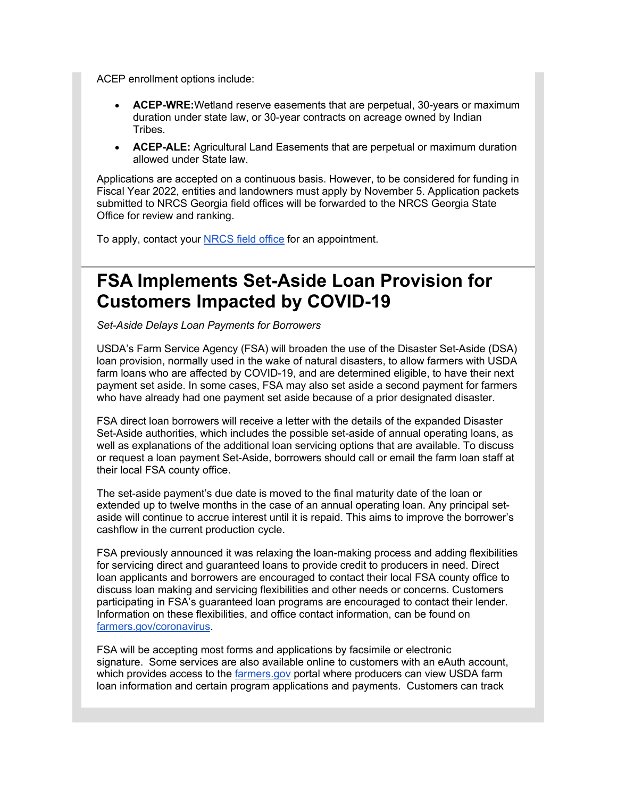ACEP enrollment options include:

- **ACEP-WRE:**Wetland reserve easements that are perpetual, 30-years or maximum duration under state law, or 30-year contracts on acreage owned by Indian Tribes.
- **ACEP-ALE:** Agricultural Land Easements that are perpetual or maximum duration allowed under State law.

Applications are accepted on a continuous basis. However, to be considered for funding in Fiscal Year 2022, entities and landowners must apply by November 5. Application packets submitted to NRCS Georgia field offices will be forwarded to the NRCS Georgia State Office for review and ranking.

To apply, contact your [NRCS field office](https://lnks.gd/l/eyJhbGciOiJIUzI1NiJ9.eyJidWxsZXRpbl9saW5rX2lkIjoxMTksInVyaSI6ImJwMjpjbGljayIsImJ1bGxldGluX2lkIjoiMjAyMTEwMTMuNDczMDM1OTEiLCJ1cmwiOiJodHRwczovL3d3dy5mYXJtZXJzLmdvdi9zZXJ2aWNlLWxvY2F0b3I_dXRtX21lZGl1bT1lbWFpbCZ1dG1fc291cmNlPWdvdmRlbGl2ZXJ5In0.LSnj6FoJhZP6RPDQiUJ6_GDocppxsU_JaWh33xLNBf8/s/1512326346/br/113848670202-l) for an appointment.

### <span id="page-4-0"></span>**FSA Implements Set-Aside Loan Provision for Customers Impacted by COVID-19**

*Set-Aside Delays Loan Payments for Borrowers*

USDA's Farm Service Agency (FSA) will broaden the use of the Disaster Set-Aside (DSA) loan provision, normally used in the wake of natural disasters, to allow farmers with USDA farm loans who are affected by COVID-19, and are determined eligible, to have their next payment set aside. In some cases, FSA may also set aside a second payment for farmers who have already had one payment set aside because of a prior designated disaster.

FSA direct loan borrowers will receive a letter with the details of the expanded Disaster Set-Aside authorities, which includes the possible set-aside of annual operating loans, as well as explanations of the additional loan servicing options that are available. To discuss or request a loan payment Set-Aside, borrowers should call or email the farm loan staff at their local FSA county office.

The set-aside payment's due date is moved to the final maturity date of the loan or extended up to twelve months in the case of an annual operating loan. Any principal setaside will continue to accrue interest until it is repaid. This aims to improve the borrower's cashflow in the current production cycle.

FSA previously announced it was relaxing the loan-making process and adding flexibilities for servicing direct and guaranteed loans to provide credit to producers in need. Direct loan applicants and borrowers are encouraged to contact their local FSA county office to discuss loan making and servicing flexibilities and other needs or concerns. Customers participating in FSA's guaranteed loan programs are encouraged to contact their lender. Information on these flexibilities, and office contact information, can be found on [farmers.gov/coronavirus.](https://lnks.gd/l/eyJhbGciOiJIUzI1NiJ9.eyJidWxsZXRpbl9saW5rX2lkIjoxMjAsInVyaSI6ImJwMjpjbGljayIsImJ1bGxldGluX2lkIjoiMjAyMTEwMTMuNDczMDM1OTEiLCJ1cmwiOiJodHRwOi8vd3d3LmZhcm1lcnMuZ292L2Nvcm9uYXZpcnVzP3V0bV9tZWRpdW09ZW1haWwmdXRtX3NvdXJjZT1nb3ZkZWxpdmVyeSJ9.Teh5OvTprETXOX6CqmrNDj9FDMe2czajawoKAD1-EAc/s/1512326346/br/113848670202-l)

FSA will be accepting most forms and applications by facsimile or electronic signature. Some services are also available online to customers with an eAuth account, which provides access to the **[farmers.gov](https://lnks.gd/l/eyJhbGciOiJIUzI1NiJ9.eyJidWxsZXRpbl9saW5rX2lkIjoxMjEsInVyaSI6ImJwMjpjbGljayIsImJ1bGxldGluX2lkIjoiMjAyMTEwMTMuNDczMDM1OTEiLCJ1cmwiOiJodHRwOi8vd3d3LmZhcm1lcnMuZ292P3V0bV9tZWRpdW09ZW1haWwmdXRtX3NvdXJjZT1nb3ZkZWxpdmVyeSJ9.pOsDSy7EhXuvCxOcCMg9Evr91N8W3nsTs-k2Xp2d2U8/s/1512326346/br/113848670202-l)** portal where producers can view USDA farm loan information and certain program applications and payments. Customers can track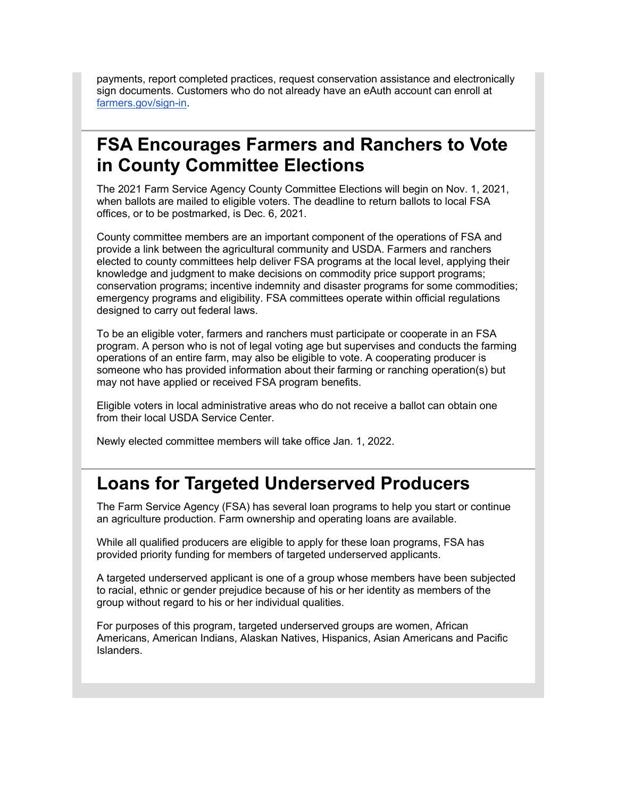payments, report completed practices, request conservation assistance and electronically sign documents. Customers who do not already have an eAuth account can enroll at [farmers.gov/sign-in.](https://lnks.gd/l/eyJhbGciOiJIUzI1NiJ9.eyJidWxsZXRpbl9saW5rX2lkIjoxMjIsInVyaSI6ImJwMjpjbGljayIsImJ1bGxldGluX2lkIjoiMjAyMTEwMTMuNDczMDM1OTEiLCJ1cmwiOiJodHRwczovL3d3dy5mYXJtZXJzLmdvdi9zaWduLWluP3V0bV9tZWRpdW09ZW1haWwmdXRtX3NvdXJjZT1nb3ZkZWxpdmVyeSJ9.YExAG0LGrEQzpGgNlWSznXIA2pdWC7BFMG-pgDnlWWs/s/1512326346/br/113848670202-l)

### <span id="page-5-0"></span>**FSA Encourages Farmers and Ranchers to Vote in County Committee Elections**

The 2021 Farm Service Agency County Committee Elections will begin on Nov. 1, 2021, when ballots are mailed to eligible voters. The deadline to return ballots to local FSA offices, or to be postmarked, is Dec. 6, 2021.

County committee members are an important component of the operations of FSA and provide a link between the agricultural community and USDA. Farmers and ranchers elected to county committees help deliver FSA programs at the local level, applying their knowledge and judgment to make decisions on commodity price support programs; conservation programs; incentive indemnity and disaster programs for some commodities; emergency programs and eligibility. FSA committees operate within official regulations designed to carry out federal laws.

To be an eligible voter, farmers and ranchers must participate or cooperate in an FSA program. A person who is not of legal voting age but supervises and conducts the farming operations of an entire farm, may also be eligible to vote. A cooperating producer is someone who has provided information about their farming or ranching operation(s) but may not have applied or received FSA program benefits.

Eligible voters in local administrative areas who do not receive a ballot can obtain one from their local USDA Service Center.

Newly elected committee members will take office Jan. 1, 2022.

### <span id="page-5-1"></span>**Loans for Targeted Underserved Producers**

The Farm Service Agency (FSA) has several loan programs to help you start or continue an agriculture production. Farm ownership and operating loans are available.

While all qualified producers are eligible to apply for these loan programs, FSA has provided priority funding for members of targeted underserved applicants.

A targeted underserved applicant is one of a group whose members have been subjected to racial, ethnic or gender prejudice because of his or her identity as members of the group without regard to his or her individual qualities.

For purposes of this program, targeted underserved groups are women, African Americans, American Indians, Alaskan Natives, Hispanics, Asian Americans and Pacific Islanders.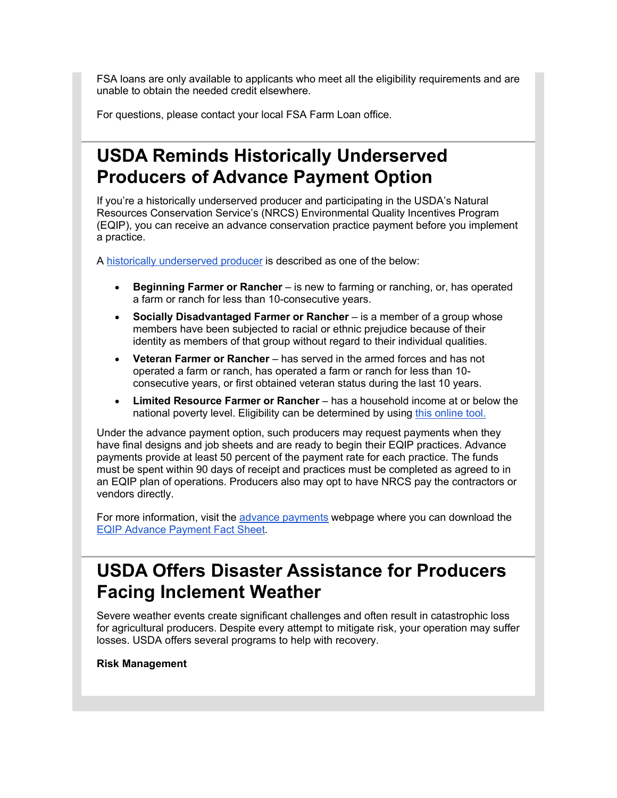FSA loans are only available to applicants who meet all the eligibility requirements and are unable to obtain the needed credit elsewhere.

For questions, please contact your local FSA Farm Loan office.

### <span id="page-6-0"></span>**USDA Reminds Historically Underserved Producers of Advance Payment Option**

If you're a historically underserved producer and participating in the USDA's Natural Resources Conservation Service's (NRCS) Environmental Quality Incentives Program (EQIP), you can receive an advance conservation practice payment before you implement a practice.

A [historically underserved producer](https://lnks.gd/l/eyJhbGciOiJIUzI1NiJ9.eyJidWxsZXRpbl9saW5rX2lkIjoxMjMsInVyaSI6ImJwMjpjbGljayIsImJ1bGxldGluX2lkIjoiMjAyMTEwMTMuNDczMDM1OTEiLCJ1cmwiOiJodHRwczovL2djYzAyLnNhZmVsaW5rcy5wcm90ZWN0aW9uLm91dGxvb2suY29tLz9kYXRhPTA0JTdDMDElN0MlN0MxNTcyMzkyOWQ0ZWM0MTU2YWJiYTA4ZDk4ZTY3NDRhYyU3Q2VkNWIzNmU3MDFlZTRlYmM4NjdlZTAzY2ZhMGQ0Njk3JTdDMCU3QzAlN0M2Mzc2OTczOTcwNTUxMTQxNzclN0NVbmtub3duJTdDVFdGcGJHWnNiM2Q4ZXlKV0lqb2lNQzR3TGpBd01EQWlMQ0pRSWpvaVYybHVNeklpTENKQlRpSTZJazFoYVd3aUxDSlhWQ0k2TW4wJTNEJTdDMTAwMCZyZXNlcnZlZD0wJnNkYXRhPVNsekJidjJCQ3NkNmtzRW5kNG9MODI3SlVHcTl1ODNudk5IMHdoSWl2VkUlM0QmdXJsPWh0dHBzJTNBJTJGJTJGd3d3Lm5yY3MudXNkYS5nb3YlMkZ3cHMlMkZwb3J0YWwlMkZucmNzJTJGbWFpbiUyRm5hdGlvbmFsJTJGcGVvcGxlJTJGb3V0cmVhY2glMkZzbGJmciUzRnV0bV9tZWRpdW0lM0RlbWFpbCUyNnV0bV9zb3VyY2UlM0Rnb3ZkZWxpdmVyeSZ1dG1fbWVkaXVtPWVtYWlsJnV0bV9zb3VyY2U9Z292ZGVsaXZlcnkifQ.A2rEMZGXzo_7be-iqVbTYSn1W4tXFL9LF1awYnhIPBU/s/1512326346/br/113848670202-l) is described as one of the below:

- **Beginning Farmer or Rancher** is new to farming or ranching, or, has operated a farm or ranch for less than 10-consecutive years.
- **Socially Disadvantaged Farmer or Rancher** is a member of a group whose members have been subjected to racial or ethnic prejudice because of their identity as members of that group without regard to their individual qualities.
- **Veteran Farmer or Rancher**  has served in the armed forces and has not operated a farm or ranch, has operated a farm or ranch for less than 10 consecutive years, or first obtained veteran status during the last 10 years.
- **Limited Resource Farmer or Rancher** has a household income at or below the national poverty level. Eligibility can be determined by using [this online tool.](https://lnks.gd/l/eyJhbGciOiJIUzI1NiJ9.eyJidWxsZXRpbl9saW5rX2lkIjoxMjQsInVyaSI6ImJwMjpjbGljayIsImJ1bGxldGluX2lkIjoiMjAyMTEwMTMuNDczMDM1OTEiLCJ1cmwiOiJodHRwczovL2xyZnRvb2wuc2MuZWdvdi51c2RhLmdvdi8_dXRtX21lZGl1bT1lbWFpbCZ1dG1fc291cmNlPWdvdmRlbGl2ZXJ5In0.uFQR9JSg6m9Ntm4cTuHUDu_g1xzEZOEpMwbfKij-AyU/s/1512326346/br/113848670202-l)

Under the advance payment option, such producers may request payments when they have final designs and job sheets and are ready to begin their EQIP practices. Advance payments provide at least 50 percent of the payment rate for each practice. The funds must be spent within 90 days of receipt and practices must be completed as agreed to in an EQIP plan of operations. Producers also may opt to have NRCS pay the contractors or vendors directly.

For more information, visit the [advance payments](https://lnks.gd/l/eyJhbGciOiJIUzI1NiJ9.eyJidWxsZXRpbl9saW5rX2lkIjoxMjUsInVyaSI6ImJwMjpjbGljayIsImJ1bGxldGluX2lkIjoiMjAyMTEwMTMuNDczMDM1OTEiLCJ1cmwiOiJodHRwczovL2djYzAyLnNhZmVsaW5rcy5wcm90ZWN0aW9uLm91dGxvb2suY29tLz9kYXRhPTA0JTdDMDElN0MlN0MxNTcyMzkyOWQ0ZWM0MTU2YWJiYTA4ZDk4ZTY3NDRhYyU3Q2VkNWIzNmU3MDFlZTRlYmM4NjdlZTAzY2ZhMGQ0Njk3JTdDMCU3QzAlN0M2Mzc2OTczOTcwNTUxMTQxNzclN0NVbmtub3duJTdDVFdGcGJHWnNiM2Q4ZXlKV0lqb2lNQzR3TGpBd01EQWlMQ0pRSWpvaVYybHVNeklpTENKQlRpSTZJazFoYVd3aUxDSlhWQ0k2TW4wJTNEJTdDMTAwMCZyZXNlcnZlZD0wJnNkYXRhPTE5S0NDZiUyRm5yS3RKSmcxNVFNM3hIbVVKRzJQenhaVFczOWFoYVhkRHJWSSUzRCZ1cmw9aHR0cHMlM0ElMkYlMkZ3d3cubnJjcy51c2RhLmdvdiUyRndwcyUyRnBvcnRhbCUyRm5yY3MlMkZkZXRhaWwlMkZuYXRpb25hbCUyRnByb2dyYW1zJTJGZmluYW5jaWFsJTJGZXFpcCUyRiUzRmNpZCUzRG5yY3NlcHJkMTUwMjQxNCUyNnV0bV9tZWRpdW0lM0RlbWFpbCUyNnV0bV9zb3VyY2UlM0Rnb3ZkZWxpdmVyeSZ1dG1fbWVkaXVtPWVtYWlsJnV0bV9zb3VyY2U9Z292ZGVsaXZlcnkifQ.JWsqU_taWbevoilIxyd-mndzFmRpwSYi7Y1tBXiDwAI/s/1512326346/br/113848670202-l) webpage where you can download the [EQIP Advance Payment Fact Sheet.](https://lnks.gd/l/eyJhbGciOiJIUzI1NiJ9.eyJidWxsZXRpbl9saW5rX2lkIjoxMjYsInVyaSI6ImJwMjpjbGljayIsImJ1bGxldGluX2lkIjoiMjAyMTEwMTMuNDczMDM1OTEiLCJ1cmwiOiJodHRwczovL2djYzAyLnNhZmVsaW5rcy5wcm90ZWN0aW9uLm91dGxvb2suY29tLz9kYXRhPTA0JTdDMDElN0MlN0MxNTcyMzkyOWQ0ZWM0MTU2YWJiYTA4ZDk4ZTY3NDRhYyU3Q2VkNWIzNmU3MDFlZTRlYmM4NjdlZTAzY2ZhMGQ0Njk3JTdDMCU3QzAlN0M2Mzc2OTczOTcwNTUxMjQxMzYlN0NVbmtub3duJTdDVFdGcGJHWnNiM2Q4ZXlKV0lqb2lNQzR3TGpBd01EQWlMQ0pRSWpvaVYybHVNeklpTENKQlRpSTZJazFoYVd3aUxDSlhWQ0k2TW4wJTNEJTdDMTAwMCZyZXNlcnZlZD0wJnNkYXRhPTdMNUNEVmxERVk5V21NdjhjRCUyQlJiSnJOenRjcmREN1VWMEh2SjJCbG5ZSSUzRCZ1cmw9aHR0cHMlM0ElMkYlMkZ3d3cubnJjcy51c2RhLmdvdiUyRndwcyUyRlBBX05SQ1NDb25zdW1wdGlvbiUyRmRvd25sb2FkJTNGY2lkJTNEbnJjc2VwcmQxNTA0MDE0JTI2ZXh0JTNEcGRmJTI2dXRtX21lZGl1bSUzRGVtYWlsJTI2dXRtX3NvdXJjZSUzRGdvdmRlbGl2ZXJ5JnV0bV9tZWRpdW09ZW1haWwmdXRtX3NvdXJjZT1nb3ZkZWxpdmVyeSJ9.53U6zYciIIjfAeFQ5gAbOSm5m0Qo_-xfgKe9u0PGaw0/s/1512326346/br/113848670202-l)

# <span id="page-6-1"></span>**USDA Offers Disaster Assistance for Producers Facing Inclement Weather**

Severe weather events create significant challenges and often result in catastrophic loss for agricultural producers. Despite every attempt to mitigate risk, your operation may suffer losses. USDA offers several programs to help with recovery.

**Risk Management**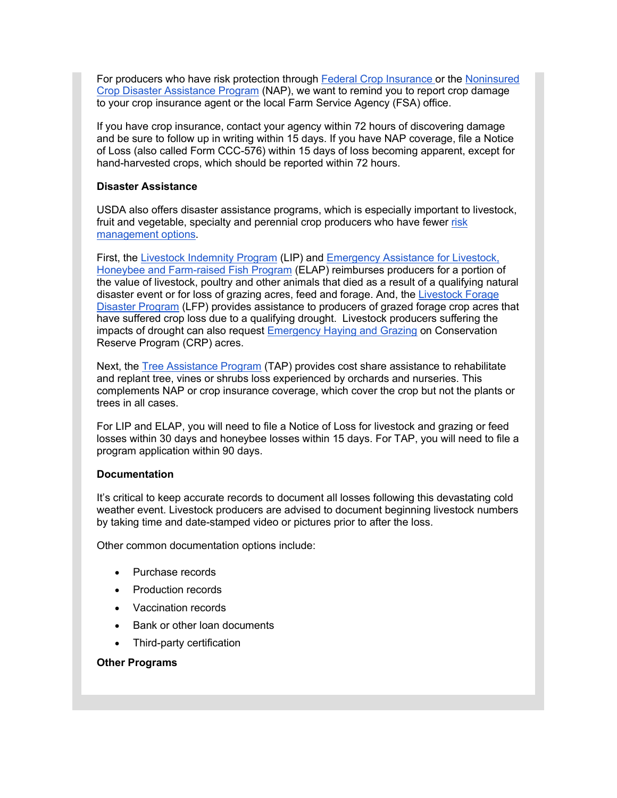For producers who have risk protection through [Federal Crop Insurance](https://lnks.gd/l/eyJhbGciOiJIUzI1NiJ9.eyJidWxsZXRpbl9saW5rX2lkIjoxMjcsInVyaSI6ImJwMjpjbGljayIsImJ1bGxldGluX2lkIjoiMjAyMTEwMTMuNDczMDM1OTEiLCJ1cmwiOiJodHRwczovL3d3dy5ybWEudXNkYS5nb3YvRmVkZXJhbC1Dcm9wLUluc3VyYW5jZS1Db3Jwb3JhdGlvbj91dG1fbWVkaXVtPWVtYWlsJnV0bV9zb3VyY2U9Z292ZGVsaXZlcnkifQ.lGFqLntMf7sV8mLkEPOYmlqiWrkNFnaSM0l41ZoPfmM/s/1512326346/br/113848670202-l) or the [Noninsured](https://lnks.gd/l/eyJhbGciOiJIUzI1NiJ9.eyJidWxsZXRpbl9saW5rX2lkIjoxMjgsInVyaSI6ImJwMjpjbGljayIsImJ1bGxldGluX2lkIjoiMjAyMTEwMTMuNDczMDM1OTEiLCJ1cmwiOiJodHRwczovL3d3dy5mc2EudXNkYS5nb3YvcHJvZ3JhbXMtYW5kLXNlcnZpY2VzL2Rpc2FzdGVyLWFzc2lzdGFuY2UtcHJvZ3JhbS9ub25pbnN1cmVkLWNyb3AtZGlzYXN0ZXItYXNzaXN0YW5jZS9pbmRleD91dG1fbWVkaXVtPWVtYWlsJnV0bV9zb3VyY2U9Z292ZGVsaXZlcnkifQ.EPXzQ8CcWOmQPiLwBUW1_obeOH-hd-72fUGUBf9Qyf4/s/1512326346/br/113848670202-l)  [Crop Disaster Assistance Program](https://lnks.gd/l/eyJhbGciOiJIUzI1NiJ9.eyJidWxsZXRpbl9saW5rX2lkIjoxMjgsInVyaSI6ImJwMjpjbGljayIsImJ1bGxldGluX2lkIjoiMjAyMTEwMTMuNDczMDM1OTEiLCJ1cmwiOiJodHRwczovL3d3dy5mc2EudXNkYS5nb3YvcHJvZ3JhbXMtYW5kLXNlcnZpY2VzL2Rpc2FzdGVyLWFzc2lzdGFuY2UtcHJvZ3JhbS9ub25pbnN1cmVkLWNyb3AtZGlzYXN0ZXItYXNzaXN0YW5jZS9pbmRleD91dG1fbWVkaXVtPWVtYWlsJnV0bV9zb3VyY2U9Z292ZGVsaXZlcnkifQ.EPXzQ8CcWOmQPiLwBUW1_obeOH-hd-72fUGUBf9Qyf4/s/1512326346/br/113848670202-l) (NAP), we want to remind you to report crop damage to your crop insurance agent or the local Farm Service Agency (FSA) office.

If you have crop insurance, contact your agency within 72 hours of discovering damage and be sure to follow up in writing within 15 days. If you have NAP coverage, file a Notice of Loss (also called Form CCC-576) within 15 days of loss becoming apparent, except for hand-harvested crops, which should be reported within 72 hours.

#### **Disaster Assistance**

USDA also offers disaster assistance programs, which is especially important to livestock, fruit and vegetable, specialty and perennial crop producers who have fewer risk [management options.](https://lnks.gd/l/eyJhbGciOiJIUzI1NiJ9.eyJidWxsZXRpbl9saW5rX2lkIjoxMjksInVyaSI6ImJwMjpjbGljayIsImJ1bGxldGluX2lkIjoiMjAyMTEwMTMuNDczMDM1OTEiLCJ1cmwiOiJodHRwczovL3d3dy5ybWEudXNkYS5nb3YvVG9waWNzL1NwZWNpYWx0eS1Dcm9wcz91dG1fbWVkaXVtPWVtYWlsJnV0bV9zb3VyY2U9Z292ZGVsaXZlcnkifQ.TyOBGOx9Ir89aeV_1AQxvOaoY4vn2dQXzGLB6ko8Nb4/s/1512326346/br/113848670202-l)

First, the [Livestock Indemnity Program](https://lnks.gd/l/eyJhbGciOiJIUzI1NiJ9.eyJidWxsZXRpbl9saW5rX2lkIjoxMzAsInVyaSI6ImJwMjpjbGljayIsImJ1bGxldGluX2lkIjoiMjAyMTEwMTMuNDczMDM1OTEiLCJ1cmwiOiJodHRwczovL3d3dy5mc2EudXNkYS5nb3YvcHJvZ3JhbXMtYW5kLXNlcnZpY2VzL2Rpc2FzdGVyLWFzc2lzdGFuY2UtcHJvZ3JhbS9saXZlc3RvY2staW5kZW1uaXR5L2luZGV4P3V0bV9tZWRpdW09ZW1haWwmdXRtX3NvdXJjZT1nb3ZkZWxpdmVyeSJ9.feJ1GSZuJ1swM8Bb6zFNh6sPS6GwwPCL9oz8fNzOz38/s/1512326346/br/113848670202-l) (LIP) and [Emergency Assistance for Livestock,](https://lnks.gd/l/eyJhbGciOiJIUzI1NiJ9.eyJidWxsZXRpbl9saW5rX2lkIjoxMzEsInVyaSI6ImJwMjpjbGljayIsImJ1bGxldGluX2lkIjoiMjAyMTEwMTMuNDczMDM1OTEiLCJ1cmwiOiJodHRwczovL3d3dy5mc2EudXNkYS5nb3YvcHJvZ3JhbXMtYW5kLXNlcnZpY2VzL2Rpc2FzdGVyLWFzc2lzdGFuY2UtcHJvZ3JhbS9lbWVyZ2VuY3ktYXNzaXN0LWZvci1saXZlc3RvY2staG9uZXktYmVlcy1maXNoL2luZGV4P3V0bV9tZWRpdW09ZW1haWwmdXRtX3NvdXJjZT1nb3ZkZWxpdmVyeSJ9.aKKMFDzvIjU5TueN9-Nycqi94Tmj_GjGcmQUY3cpdGY/s/1512326346/br/113848670202-l)  [Honeybee and Farm-raised Fish Program](https://lnks.gd/l/eyJhbGciOiJIUzI1NiJ9.eyJidWxsZXRpbl9saW5rX2lkIjoxMzEsInVyaSI6ImJwMjpjbGljayIsImJ1bGxldGluX2lkIjoiMjAyMTEwMTMuNDczMDM1OTEiLCJ1cmwiOiJodHRwczovL3d3dy5mc2EudXNkYS5nb3YvcHJvZ3JhbXMtYW5kLXNlcnZpY2VzL2Rpc2FzdGVyLWFzc2lzdGFuY2UtcHJvZ3JhbS9lbWVyZ2VuY3ktYXNzaXN0LWZvci1saXZlc3RvY2staG9uZXktYmVlcy1maXNoL2luZGV4P3V0bV9tZWRpdW09ZW1haWwmdXRtX3NvdXJjZT1nb3ZkZWxpdmVyeSJ9.aKKMFDzvIjU5TueN9-Nycqi94Tmj_GjGcmQUY3cpdGY/s/1512326346/br/113848670202-l) (ELAP) reimburses producers for a portion of the value of livestock, poultry and other animals that died as a result of a qualifying natural disaster event or for loss of grazing acres, feed and forage. And, the [Livestock Forage](https://lnks.gd/l/eyJhbGciOiJIUzI1NiJ9.eyJidWxsZXRpbl9saW5rX2lkIjoxMzIsInVyaSI6ImJwMjpjbGljayIsImJ1bGxldGluX2lkIjoiMjAyMTEwMTMuNDczMDM1OTEiLCJ1cmwiOiJodHRwczovL3d3dy5mc2EudXNkYS5nb3YvcHJvZ3JhbXMtYW5kLXNlcnZpY2VzL2Rpc2FzdGVyLWFzc2lzdGFuY2UtcHJvZ3JhbS9saXZlc3RvY2stZm9yYWdlL2luZGV4P3V0bV9tZWRpdW09ZW1haWwmdXRtX3NvdXJjZT1nb3ZkZWxpdmVyeSJ9.fVpJjT0XIBbwsuNXnoImc-3Csy0GsS7F5ts69i3w08E/s/1512326346/br/113848670202-l)  [Disaster Program](https://lnks.gd/l/eyJhbGciOiJIUzI1NiJ9.eyJidWxsZXRpbl9saW5rX2lkIjoxMzIsInVyaSI6ImJwMjpjbGljayIsImJ1bGxldGluX2lkIjoiMjAyMTEwMTMuNDczMDM1OTEiLCJ1cmwiOiJodHRwczovL3d3dy5mc2EudXNkYS5nb3YvcHJvZ3JhbXMtYW5kLXNlcnZpY2VzL2Rpc2FzdGVyLWFzc2lzdGFuY2UtcHJvZ3JhbS9saXZlc3RvY2stZm9yYWdlL2luZGV4P3V0bV9tZWRpdW09ZW1haWwmdXRtX3NvdXJjZT1nb3ZkZWxpdmVyeSJ9.fVpJjT0XIBbwsuNXnoImc-3Csy0GsS7F5ts69i3w08E/s/1512326346/br/113848670202-l) (LFP) provides assistance to producers of grazed forage crop acres that have suffered crop loss due to a qualifying drought. Livestock producers suffering the impacts of drought can also request [Emergency Haying and Grazing](https://lnks.gd/l/eyJhbGciOiJIUzI1NiJ9.eyJidWxsZXRpbl9saW5rX2lkIjoxMzMsInVyaSI6ImJwMjpjbGljayIsImJ1bGxldGluX2lkIjoiMjAyMTEwMTMuNDczMDM1OTEiLCJ1cmwiOiJodHRwczovL3d3dy5mc2EudXNkYS5nb3YvcHJvZ3JhbXMtYW5kLXNlcnZpY2VzL2NvbnNlcnZhdGlvbi1wcm9ncmFtcy9jb25zZXJ2YXRpb24tcmVzZXJ2ZS1wcm9ncmFtL2VtZXJnZW5jeS1oYXlpbmctYW5kLWdyYXppbmcvaW5kZXg_dXRtX21lZGl1bT1lbWFpbCZ1dG1fc291cmNlPWdvdmRlbGl2ZXJ5In0.qwnL7MZNF6ttB0dn7CD63UHhnFmi_kxI3-rMh4gvLeI/s/1512326346/br/113848670202-l) on Conservation Reserve Program (CRP) acres.

Next, the [Tree Assistance Program](https://lnks.gd/l/eyJhbGciOiJIUzI1NiJ9.eyJidWxsZXRpbl9saW5rX2lkIjoxMzQsInVyaSI6ImJwMjpjbGljayIsImJ1bGxldGluX2lkIjoiMjAyMTEwMTMuNDczMDM1OTEiLCJ1cmwiOiJodHRwczovL3d3dy5mc2EudXNkYS5nb3YvcHJvZ3JhbXMtYW5kLXNlcnZpY2VzL2Rpc2FzdGVyLWFzc2lzdGFuY2UtcHJvZ3JhbS90cmVlLWFzc2lzdGE_dXRtX21lZGl1bT1lbWFpbCZ1dG1fc291cmNlPWdvdmRlbGl2ZXJ5In0.cTUK8W8lLszSzwEFaF0ZeCHx8tVPieNUTSPrfT7-WXI/s/1512326346/br/113848670202-l) (TAP) provides cost share assistance to rehabilitate and replant tree, vines or shrubs loss experienced by orchards and nurseries. This complements NAP or crop insurance coverage, which cover the crop but not the plants or trees in all cases.

For LIP and ELAP, you will need to file a Notice of Loss for livestock and grazing or feed losses within 30 days and honeybee losses within 15 days. For TAP, you will need to file a program application within 90 days.

### **Documentation**

It's critical to keep accurate records to document all losses following this devastating cold weather event. Livestock producers are advised to document beginning livestock numbers by taking time and date-stamped video or pictures prior to after the loss.

Other common documentation options include:

- Purchase records
- Production records
- Vaccination records
- Bank or other loan documents
- Third-party certification

#### **Other Programs**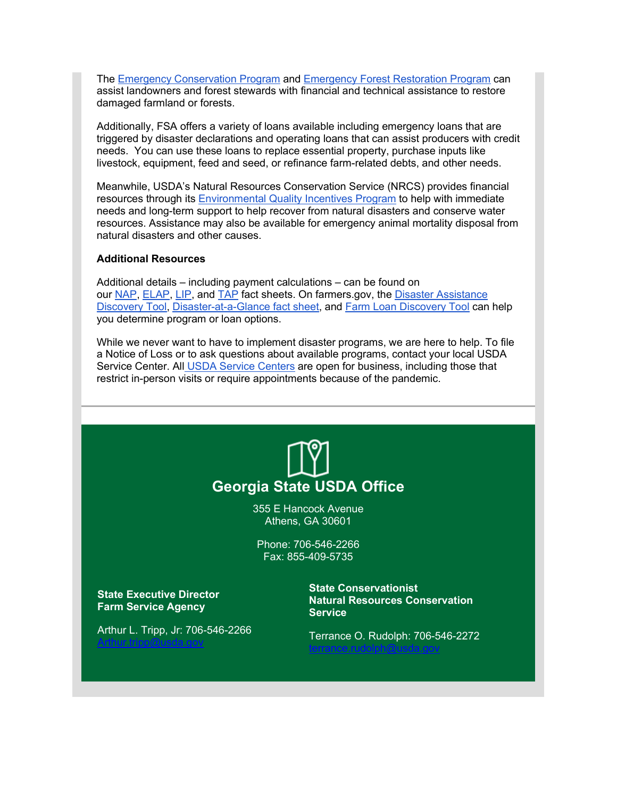The [Emergency Conservation Program](https://lnks.gd/l/eyJhbGciOiJIUzI1NiJ9.eyJidWxsZXRpbl9saW5rX2lkIjoxMzUsInVyaSI6ImJwMjpjbGljayIsImJ1bGxldGluX2lkIjoiMjAyMTEwMTMuNDczMDM1OTEiLCJ1cmwiOiJodHRwOi8vd3d3LmZzYS51c2RhLmdvdi9wcm9ncmFtcy1hbmQtc2VydmljZXMvY29uc2VydmF0aW9uLXByb2dyYW1zL2VtZXJnZW5jeS1jb25zZXJ2YXRpb24vaW5kZXg_dXRtX21lZGl1bT1lbWFpbCZ1dG1fc291cmNlPWdvdmRlbGl2ZXJ5In0.SOdaVDzepQ0RuklF6ftoMDDKMeWNG69DLeHtwk6TZ2g/s/1512326346/br/113848670202-l) and [Emergency Forest Restoration Program](https://lnks.gd/l/eyJhbGciOiJIUzI1NiJ9.eyJidWxsZXRpbl9saW5rX2lkIjoxMzYsInVyaSI6ImJwMjpjbGljayIsImJ1bGxldGluX2lkIjoiMjAyMTEwMTMuNDczMDM1OTEiLCJ1cmwiOiJodHRwczovL3d3dy5mc2EudXNkYS5nb3YvcHJvZ3JhbXMtYW5kLXNlcnZpY2VzL2Rpc2FzdGVyLWFzc2lzdGFuY2UtcHJvZ3JhbS9lbWVyZ2VuY3ktZm9yZXN0LXJlc3RvcmF0aW9uL2luZGV4P3V0bV9tZWRpdW09ZW1haWwmdXRtX3NvdXJjZT1nb3ZkZWxpdmVyeSJ9.CXVlkdXn4Ct5v_Eg9-9cgV56dWybzYkFGFEb6SmrLBk/s/1512326346/br/113848670202-l) can assist landowners and forest stewards with financial and technical assistance to restore damaged farmland or forests.

Additionally, FSA offers a variety of loans available including emergency loans that are triggered by disaster declarations and operating loans that can assist producers with credit needs. You can use these loans to replace essential property, purchase inputs like livestock, equipment, feed and seed, or refinance farm-related debts, and other needs.

Meanwhile, USDA's Natural Resources Conservation Service (NRCS) provides financial resources through its [Environmental Quality Incentives Program](https://lnks.gd/l/eyJhbGciOiJIUzI1NiJ9.eyJidWxsZXRpbl9saW5rX2lkIjoxMzcsInVyaSI6ImJwMjpjbGljayIsImJ1bGxldGluX2lkIjoiMjAyMTEwMTMuNDczMDM1OTEiLCJ1cmwiOiJodHRwczovL3d3dy5ucmNzLnVzZGEuZ292L3dwcy9wb3J0YWwvbnJjcy9tYWluL25hdGlvbmFsL3Byb2dyYW1zL2ZpbmFuY2lhbC9lcWlwLz91dG1fbWVkaXVtPWVtYWlsJnV0bV9zb3VyY2U9Z292ZGVsaXZlcnkifQ.Jn6Dr80Ae3o3hbm33Cdd7EyNaYkapQ0jJM0Jy2FPzWQ/s/1512326346/br/113848670202-l) to help with immediate needs and long-term support to help recover from natural disasters and conserve water resources. Assistance may also be available for emergency animal mortality disposal from natural disasters and other causes.

#### **Additional Resources**

Additional details – including payment calculations – can be found on our [NAP,](https://lnks.gd/l/eyJhbGciOiJIUzI1NiJ9.eyJidWxsZXRpbl9saW5rX2lkIjoxMzgsInVyaSI6ImJwMjpjbGljayIsImJ1bGxldGluX2lkIjoiMjAyMTEwMTMuNDczMDM1OTEiLCJ1cmwiOiJodHRwczovL3d3dy5mc2EudXNkYS5nb3YvQXNzZXRzL1VTREEtRlNBLVB1YmxpYy91c2RhZmlsZXMvRmFjdFNoZWV0cy9ub25pbnN1cmVkX2Nyb3BfZGlzYXN0ZXJfYXNzaXN0YW5jZV9wcm9ncmFtLW5hcC1mYWN0X3NoZWV0LnBkZj91dG1fbWVkaXVtPWVtYWlsJnV0bV9zb3VyY2U9Z292ZGVsaXZlcnkifQ.Fd164lo7ZoLqsmj9lyx8duSNUrO7Yhn_45poQb_tO-A/s/1512326346/br/113848670202-l) [ELAP,](https://lnks.gd/l/eyJhbGciOiJIUzI1NiJ9.eyJidWxsZXRpbl9saW5rX2lkIjoxMzksInVyaSI6ImJwMjpjbGljayIsImJ1bGxldGluX2lkIjoiMjAyMTEwMTMuNDczMDM1OTEiLCJ1cmwiOiJodHRwczovL3d3dy5mc2EudXNkYS5nb3YvQXNzZXRzL1VTREEtRlNBLVB1YmxpYy91c2RhZmlsZXMvRmFjdFNoZWV0cy9lbGFwLWdlbmVyYWwtMjAyMC1mYWN0LXNoZWV0LTEucGRmP3V0bV9tZWRpdW09ZW1haWwmdXRtX3NvdXJjZT1nb3ZkZWxpdmVyeSJ9.HDmvPQQ5wj77i6PKP_pVm24DzKKZrWjXaFfys6iCOUM/s/1512326346/br/113848670202-l) [LIP,](https://lnks.gd/l/eyJhbGciOiJIUzI1NiJ9.eyJidWxsZXRpbl9saW5rX2lkIjoxNDAsInVyaSI6ImJwMjpjbGljayIsImJ1bGxldGluX2lkIjoiMjAyMTEwMTMuNDczMDM1OTEiLCJ1cmwiOiJodHRwczovL3d3dy5mc2EudXNkYS5nb3YvQXNzZXRzL1VTREEtRlNBLVB1YmxpYy91c2RhZmlsZXMvRmFjdFNoZWV0cy9saXZlc3RvY2tfaW5kZW1uaXR5X3Byb2dyYW1fbGlwLWZhY3Rfc2hlZXQucGRmP3V0bV9tZWRpdW09ZW1haWwmdXRtX3NvdXJjZT1nb3ZkZWxpdmVyeSJ9.u74IoBd9XUHrcuWyDwzc1_T_B8u-MD4t17sxSxj36UI/s/1512326346/br/113848670202-l) and [TAP](https://lnks.gd/l/eyJhbGciOiJIUzI1NiJ9.eyJidWxsZXRpbl9saW5rX2lkIjoxNDEsInVyaSI6ImJwMjpjbGljayIsImJ1bGxldGluX2lkIjoiMjAyMTEwMTMuNDczMDM1OTEiLCJ1cmwiOiJodHRwczovL3d3dy5mc2EudXNkYS5nb3YvQXNzZXRzL1VTREEtRlNBLVB1YmxpYy91c2RhZmlsZXMvRmFjdFNoZWV0cy90cmVlX2Fzc2lzdGFuY2VfcHJvZ3JhbS10YXAtZmFjdF9zaGVldC5wZGY_dXRtX21lZGl1bT1lbWFpbCZ1dG1fc291cmNlPWdvdmRlbGl2ZXJ5In0.Hlc26UCQ0CaKlytRNCCQbXm_3T1V3bfhMk3FbZEK4sw/s/1512326346/br/113848670202-l) fact sheets. On farmers.gov, the [Disaster Assistance](https://lnks.gd/l/eyJhbGciOiJIUzI1NiJ9.eyJidWxsZXRpbl9saW5rX2lkIjoxNDIsInVyaSI6ImJwMjpjbGljayIsImJ1bGxldGluX2lkIjoiMjAyMTEwMTMuNDczMDM1OTEiLCJ1cmwiOiJodHRwczovL3d3dy5mYXJtZXJzLmdvdi9ub2RlLzI4OTg5P3V0bV9tZWRpdW09ZW1haWwmdXRtX3NvdXJjZT1nb3ZkZWxpdmVyeSJ9.GeEePy3L6mVMC1Nd_bjZX7DU_nEuP8PzVSDjNNBO6l0/s/1512326346/br/113848670202-l)  [Discovery Tool,](https://lnks.gd/l/eyJhbGciOiJIUzI1NiJ9.eyJidWxsZXRpbl9saW5rX2lkIjoxNDIsInVyaSI6ImJwMjpjbGljayIsImJ1bGxldGluX2lkIjoiMjAyMTEwMTMuNDczMDM1OTEiLCJ1cmwiOiJodHRwczovL3d3dy5mYXJtZXJzLmdvdi9ub2RlLzI4OTg5P3V0bV9tZWRpdW09ZW1haWwmdXRtX3NvdXJjZT1nb3ZkZWxpdmVyeSJ9.GeEePy3L6mVMC1Nd_bjZX7DU_nEuP8PzVSDjNNBO6l0/s/1512326346/br/113848670202-l) [Disaster-at-a-Glance fact sheet,](https://lnks.gd/l/eyJhbGciOiJIUzI1NiJ9.eyJidWxsZXRpbl9saW5rX2lkIjoxNDMsInVyaSI6ImJwMjpjbGljayIsImJ1bGxldGluX2lkIjoiMjAyMTEwMTMuNDczMDM1OTEiLCJ1cmwiOiJodHRwczovL3d3dy5mYXJtZXJzLmdvdi9zaXRlcy9kZWZhdWx0L2ZpbGVzLzIwMjAtMDQvRlNBX0Rpc2FzdGVyQXNzaXN0YW5jZV9hdF9hX2dsYW5jZV9icm9jaHVyZV8ucGRmP3V0bV9tZWRpdW09ZW1haWwmdXRtX3NvdXJjZT1nb3ZkZWxpdmVyeSJ9.muykZXh5vKYqBlYVpc6qfadCf4j9wa-UAYEku88iQSk/s/1512326346/br/113848670202-l) and [Farm Loan Discovery Tool](https://lnks.gd/l/eyJhbGciOiJIUzI1NiJ9.eyJidWxsZXRpbl9saW5rX2lkIjoxNDQsInVyaSI6ImJwMjpjbGljayIsImJ1bGxldGluX2lkIjoiMjAyMTEwMTMuNDczMDM1OTEiLCJ1cmwiOiJodHRwczovL3d3dy5mYXJtZXJzLmdvdi9mdW5kL2Zhcm0tbG9hbi1kaXNjb3ZlcnktdG9vbD91dG1fbWVkaXVtPWVtYWlsJnV0bV9zb3VyY2U9Z292ZGVsaXZlcnkifQ.C0VLrY4_hUa76ih024t7v5cUtQ9VZYkKMVkjBxzfO0Y/s/1512326346/br/113848670202-l) can help you determine program or loan options.

While we never want to have to implement disaster programs, we are here to help. To file a Notice of Loss or to ask questions about available programs, contact your local USDA Service Center. All [USDA Service Centers](https://lnks.gd/l/eyJhbGciOiJIUzI1NiJ9.eyJidWxsZXRpbl9saW5rX2lkIjoxNDUsInVyaSI6ImJwMjpjbGljayIsImJ1bGxldGluX2lkIjoiMjAyMTEwMTMuNDczMDM1OTEiLCJ1cmwiOiJodHRwczovL3d3dy5mYXJtZXJzLmdvdi9zZXJ2aWNlLWNlbnRlci1sb2NhdG9yP3V0bV9tZWRpdW09ZW1haWwmdXRtX3NvdXJjZT1nb3ZkZWxpdmVyeSJ9.-H3yOFstKycL8wmegeuSWZTgsFFNYulT62qSMtQ56OA/s/1512326346/br/113848670202-l) are open for business, including those that restrict in-person visits or require appointments because of the pandemic.